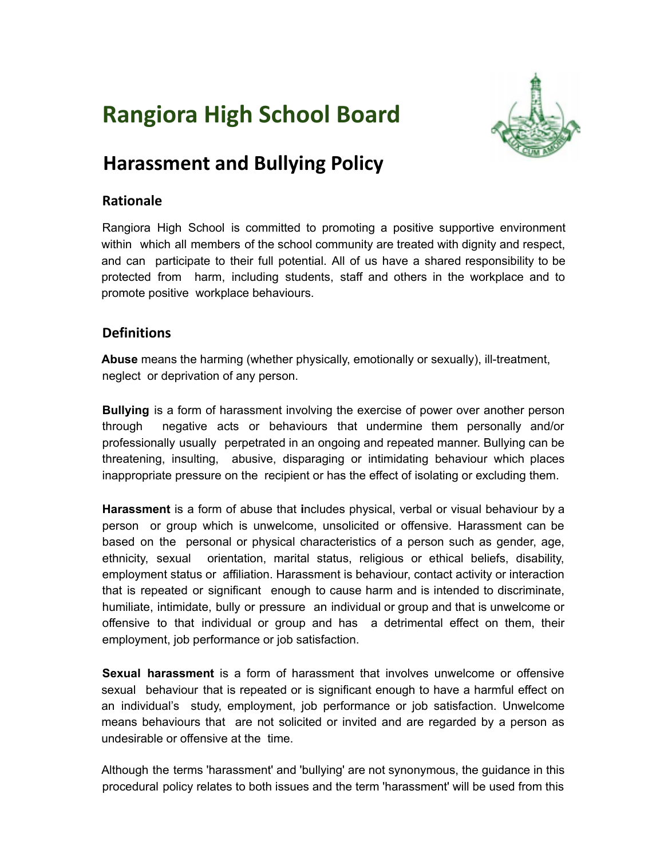# **Rangiora High School Board**



# **Harassment and Bullying Policy**

### **Rationale**

Rangiora High School is committed to promoting a positive supportive environment within which all members of the school community are treated with dignity and respect, and can participate to their full potential. All of us have a shared responsibility to be protected from harm, including students, staff and others in the workplace and to promote positive workplace behaviours.

# **Definitions**

**Abuse** means the harming (whether physically, emotionally or sexually), ill-treatment, neglect or deprivation of any person.

**Bullying** is a form of harassment involving the exercise of power over another person through negative acts or behaviours that undermine them personally and/or professionally usually perpetrated in an ongoing and repeated manner. Bullying can be threatening, insulting, abusive, disparaging or intimidating behaviour which places inappropriate pressure on the recipient or has the effect of isolating or excluding them.

**Harassment** is a form of abuse that **i**ncludes physical, verbal or visual behaviour by a person or group which is unwelcome, unsolicited or offensive. Harassment can be based on the personal or physical characteristics of a person such as gender, age, ethnicity, sexual orientation, marital status, religious or ethical beliefs, disability, employment status or affiliation. Harassment is behaviour, contact activity or interaction that is repeated or significant enough to cause harm and is intended to discriminate, humiliate, intimidate, bully or pressure an individual or group and that is unwelcome or offensive to that individual or group and has a detrimental effect on them, their employment, job performance or job satisfaction.

**Sexual harassment** is a form of harassment that involves unwelcome or offensive sexual behaviour that is repeated or is significant enough to have a harmful effect on an individual's study, employment, job performance or job satisfaction. Unwelcome means behaviours that are not solicited or invited and are regarded by a person as undesirable or offensive at the time.

Although the terms 'harassment' and 'bullying' are not synonymous, the guidance in this procedural policy relates to both issues and the term 'harassment' will be used from this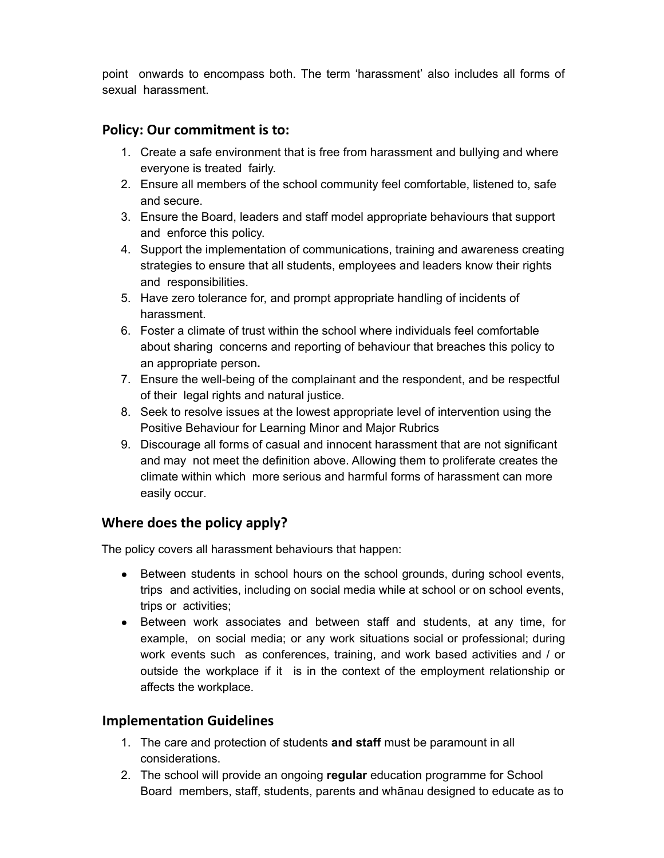point onwards to encompass both. The term 'harassment' also includes all forms of sexual harassment.

#### **Policy: Our commitment is to:**

- 1. Create a safe environment that is free from harassment and bullying and where everyone is treated fairly.
- 2. Ensure all members of the school community feel comfortable, listened to, safe and secure.
- 3. Ensure the Board, leaders and staff model appropriate behaviours that support and enforce this policy.
- 4. Support the implementation of communications, training and awareness creating strategies to ensure that all students, employees and leaders know their rights and responsibilities.
- 5. Have zero tolerance for, and prompt appropriate handling of incidents of harassment.
- 6. Foster a climate of trust within the school where individuals feel comfortable about sharing concerns and reporting of behaviour that breaches this policy to an appropriate person**.**
- 7. Ensure the well-being of the complainant and the respondent, and be respectful of their legal rights and natural justice.
- 8. Seek to resolve issues at the lowest appropriate level of intervention using the Positive Behaviour for Learning Minor and Major Rubrics
- 9. Discourage all forms of casual and innocent harassment that are not significant and may not meet the definition above. Allowing them to proliferate creates the climate within which more serious and harmful forms of harassment can more easily occur.

# **Where does the policy apply?**

The policy covers all harassment behaviours that happen:

- Between students in school hours on the school grounds, during school events, trips and activities, including on social media while at school or on school events, trips or activities;
- Between work associates and between staff and students, at any time, for example, on social media; or any work situations social or professional; during work events such as conferences, training, and work based activities and / or outside the workplace if it is in the context of the employment relationship or affects the workplace.

#### **Implementation Guidelines**

- 1. The care and protection of students **and staff** must be paramount in all considerations.
- 2. The school will provide an ongoing **regular** education programme for School Board members, staff, students, parents and whānau designed to educate as to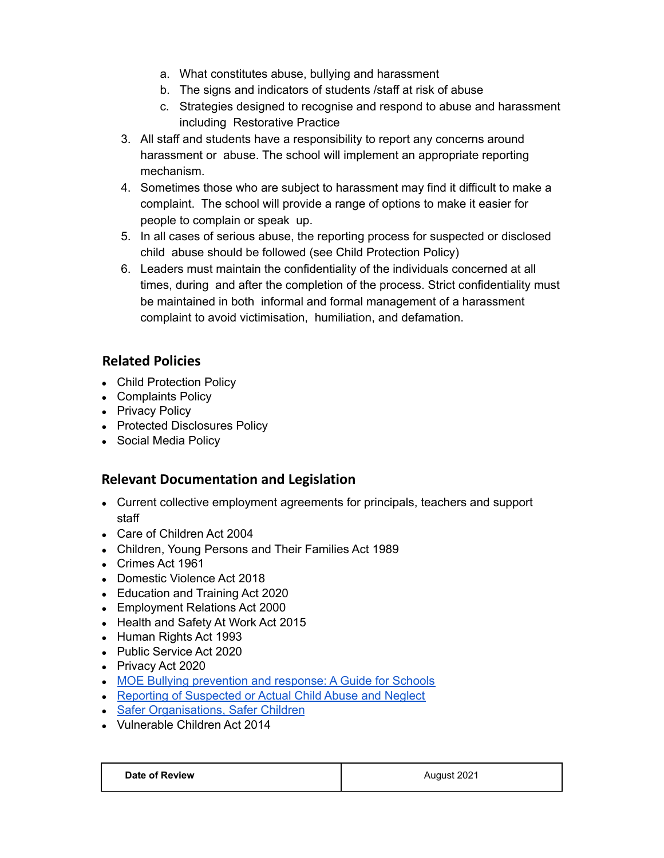- a. What constitutes abuse, bullying and harassment
- b. The signs and indicators of students /staff at risk of abuse
- c. Strategies designed to recognise and respond to abuse and harassment including Restorative Practice
- 3. All staff and students have a responsibility to report any concerns around harassment or abuse. The school will implement an appropriate reporting mechanism.
- 4. Sometimes those who are subject to harassment may find it difficult to make a complaint. The school will provide a range of options to make it easier for people to complain or speak up.
- 5. In all cases of serious abuse, the reporting process for suspected or disclosed child abuse should be followed (see Child Protection Policy)
- 6. Leaders must maintain the confidentiality of the individuals concerned at all times, during and after the completion of the process. Strict confidentiality must be maintained in both informal and formal management of a harassment complaint to avoid victimisation, humiliation, and defamation.

# **Related Policies**

- Child Protection Policy
- Complaints Policy
- Privacy Policy
- Protected Disclosures Policy
- Social Media Policy

# **Relevant Documentation and Legislation**

- Current collective employment agreements for principals, teachers and support staff
- Care of Children Act 2004
- Children, Young Persons and Their Families Act 1989
- Crimes Act 1961
- Domestic Violence Act 2018
- Education and Training Act 2020
- Employment Relations Act 2000
- Health and Safety At Work Act 2015
- Human Rights Act 1993
- Public Service Act 2020
- Privacy Act 2020
- MOE Bullying [prevention](https://www.education.govt.nz/assets/Documents/School/Bullying-prevention/MOEBullyingGuide2015Web.pdf) and response: A Guide for Schools
- Reporting of [Suspected](https://www.education.govt.nz/assets/Documents/School/Traumatic-incidents-and-emergencies/MoE-STA-CYFProtocolForReportingActualOrSuspectedChildAbuseNov09Amendment-3-2015.pdf) or Actual Child Abuse and Neglect
- Safer [Organisations,](https://www.orangatamariki.govt.nz/assets/Uploads/Working-with-children/Childrens-act-requirements/Safer-Organisations-safer-children.pdf) Safer Children
- Vulnerable Children Act 2014

| Date of Review | August 2021 |
|----------------|-------------|
|                |             |